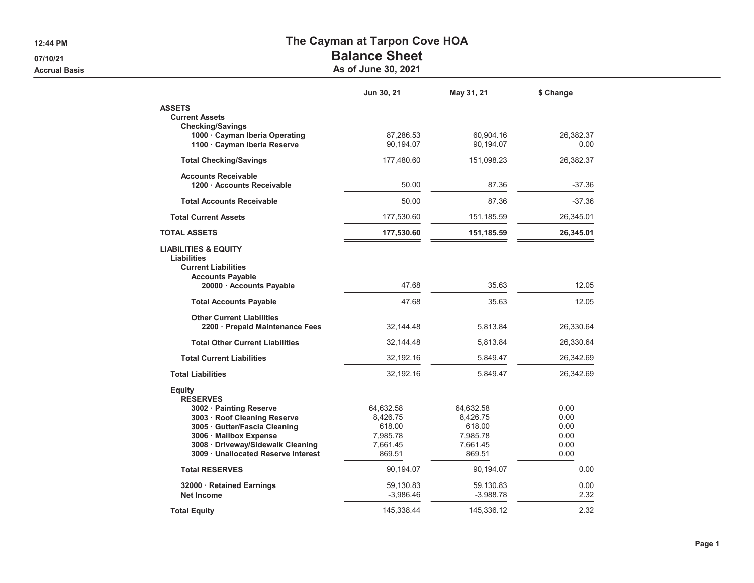**12:44 PM**

**07/10/21**

**Accrual Basis**

## **The Cayman at Tarpon Cove HOA**

## **Balance Sheet**

**As of June 30, 2021**

|                                                     | Jun 30, 21  | May 31, 21  | \$ Change |
|-----------------------------------------------------|-------------|-------------|-----------|
| <b>ASSETS</b>                                       |             |             |           |
| <b>Current Assets</b><br><b>Checking/Savings</b>    |             |             |           |
| 1000 · Cayman Iberia Operating                      | 87.286.53   | 60,904.16   | 26,382.37 |
| 1100 · Cayman Iberia Reserve                        | 90,194.07   | 90,194.07   | 0.00      |
| <b>Total Checking/Savings</b>                       | 177,480.60  | 151,098.23  | 26,382.37 |
| <b>Accounts Receivable</b>                          |             |             |           |
| 1200 Accounts Receivable                            | 50.00       | 87.36       | $-37.36$  |
| <b>Total Accounts Receivable</b>                    | 50.00       | 87.36       | $-37.36$  |
| <b>Total Current Assets</b>                         | 177,530.60  | 151, 185.59 | 26,345.01 |
| <b>TOTAL ASSETS</b>                                 | 177,530.60  | 151,185.59  | 26,345.01 |
| <b>LIABILITIES &amp; EQUITY</b>                     |             |             |           |
| Liabilities                                         |             |             |           |
| <b>Current Liabilities</b>                          |             |             |           |
| <b>Accounts Payable</b><br>20000 · Accounts Payable | 47.68       | 35.63       | 12.05     |
|                                                     |             |             |           |
| <b>Total Accounts Payable</b>                       | 47.68       | 35.63       | 12.05     |
| <b>Other Current Liabilities</b>                    |             |             |           |
| 2200 · Prepaid Maintenance Fees                     | 32,144.48   | 5,813.84    | 26,330.64 |
| <b>Total Other Current Liabilities</b>              | 32,144.48   | 5.813.84    | 26,330.64 |
| <b>Total Current Liabilities</b>                    | 32,192.16   | 5,849.47    | 26,342.69 |
| <b>Total Liabilities</b>                            | 32,192.16   | 5,849.47    | 26,342.69 |
| <b>Equity</b>                                       |             |             |           |
| <b>RESERVES</b>                                     |             |             |           |
| 3002 · Painting Reserve                             | 64,632.58   | 64,632.58   | 0.00      |
| 3003 · Roof Cleaning Reserve                        | 8,426.75    | 8,426.75    | 0.00      |
| 3005 Gutter/Fascia Cleaning                         | 618.00      | 618.00      | 0.00      |
| 3006 · Mailbox Expense                              | 7,985.78    | 7,985.78    | 0.00      |
| 3008 · Driveway/Sidewalk Cleaning                   | 7,661.45    | 7,661.45    | 0.00      |
| 3009 · Unallocated Reserve Interest                 | 869.51      | 869.51      | 0.00      |
| <b>Total RESERVES</b>                               | 90,194.07   | 90,194.07   | 0.00      |
| 32000 · Retained Earnings                           | 59,130.83   | 59,130.83   | 0.00      |
| <b>Net Income</b>                                   | $-3,986.46$ | $-3,988.78$ | 2.32      |
| <b>Total Equity</b>                                 | 145,338.44  | 145,336.12  | 2.32      |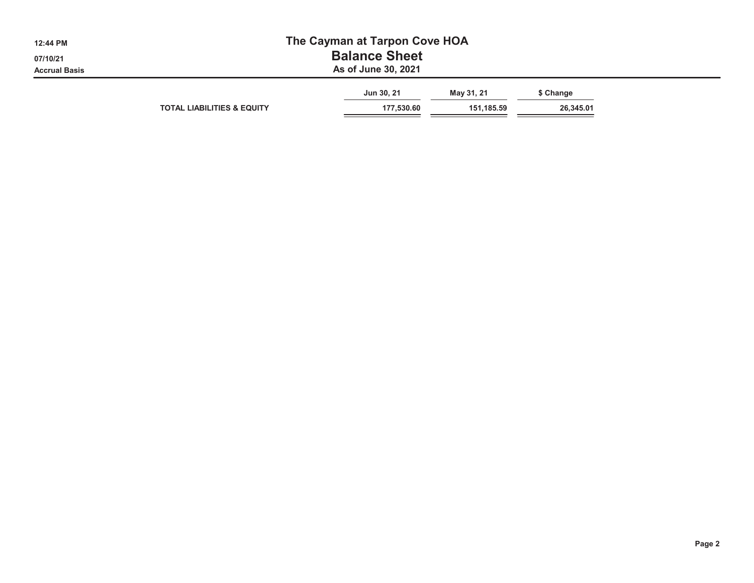| 12:44 PM             | The Cayman at Tarpon Cove HOA         |                          |                          |                        |  |  |  |  |  |
|----------------------|---------------------------------------|--------------------------|--------------------------|------------------------|--|--|--|--|--|
| 07/10/21             | <b>Balance Sheet</b>                  |                          |                          |                        |  |  |  |  |  |
| <b>Accrual Basis</b> | As of June 30, 2021                   |                          |                          |                        |  |  |  |  |  |
|                      | <b>TOTAL LIABILITIES &amp; EQUITY</b> | Jun 30, 21<br>177,530.60 | May 31, 21<br>151,185.59 | \$ Change<br>26,345.01 |  |  |  |  |  |